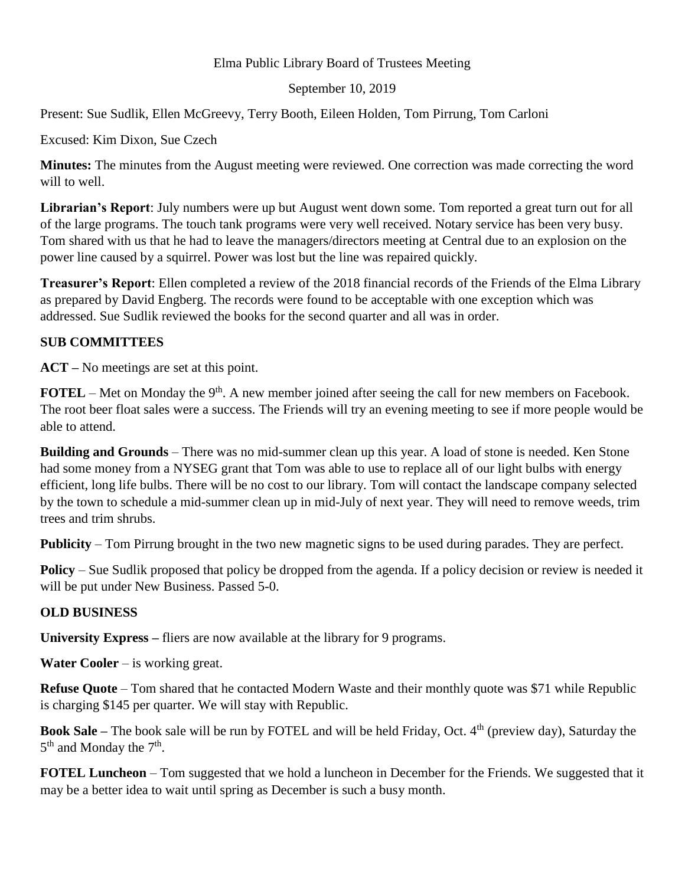## Elma Public Library Board of Trustees Meeting

## September 10, 2019

Present: Sue Sudlik, Ellen McGreevy, Terry Booth, Eileen Holden, Tom Pirrung, Tom Carloni

Excused: Kim Dixon, Sue Czech

**Minutes:** The minutes from the August meeting were reviewed. One correction was made correcting the word will to well.

**Librarian's Report**: July numbers were up but August went down some. Tom reported a great turn out for all of the large programs. The touch tank programs were very well received. Notary service has been very busy. Tom shared with us that he had to leave the managers/directors meeting at Central due to an explosion on the power line caused by a squirrel. Power was lost but the line was repaired quickly.

**Treasurer's Report**: Ellen completed a review of the 2018 financial records of the Friends of the Elma Library as prepared by David Engberg. The records were found to be acceptable with one exception which was addressed. Sue Sudlik reviewed the books for the second quarter and all was in order.

## **SUB COMMITTEES**

**ACT –** No meetings are set at this point.

**FOTEL** – Met on Monday the 9<sup>th</sup>. A new member joined after seeing the call for new members on Facebook. The root beer float sales were a success. The Friends will try an evening meeting to see if more people would be able to attend.

**Building and Grounds** – There was no mid-summer clean up this year. A load of stone is needed. Ken Stone had some money from a NYSEG grant that Tom was able to use to replace all of our light bulbs with energy efficient, long life bulbs. There will be no cost to our library. Tom will contact the landscape company selected by the town to schedule a mid-summer clean up in mid-July of next year. They will need to remove weeds, trim trees and trim shrubs.

**Publicity** – Tom Pirrung brought in the two new magnetic signs to be used during parades. They are perfect.

**Policy** – Sue Sudlik proposed that policy be dropped from the agenda. If a policy decision or review is needed it will be put under New Business. Passed 5-0.

## **OLD BUSINESS**

**University Express –** fliers are now available at the library for 9 programs.

**Water Cooler** – is working great.

**Refuse Quote** – Tom shared that he contacted Modern Waste and their monthly quote was \$71 while Republic is charging \$145 per quarter. We will stay with Republic.

**Book Sale –** The book sale will be run by FOTEL and will be held Friday, Oct. 4<sup>th</sup> (preview day), Saturday the  $5<sup>th</sup>$  and Monday the  $7<sup>th</sup>$ .

**FOTEL Luncheon** – Tom suggested that we hold a luncheon in December for the Friends. We suggested that it may be a better idea to wait until spring as December is such a busy month.